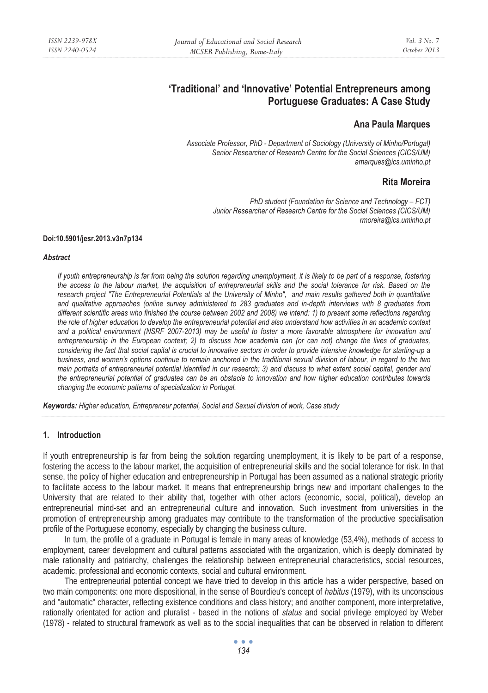# **'Traditional' and 'Innovative' Potential Entrepreneurs among Portuguese Graduates: A Case Study**

# **Ana Paula Marques**

*Associate Professor, PhD - Department of Sociology (University of Minho/Portugal) Senior Researcher of Research Centre for the Social Sciences (CICS/UM) amarques@ics.uminho.pt* 

### **Rita Moreira**

*PhD student (Foundation for Science and Technology – FCT) Junior Researcher of Research Centre for the Social Sciences (CICS/UM) rmoreira@ics.uminho.pt* 

#### **Doi:10.5901/jesr.2013.v3n7p134**

#### *Abstract*

*If youth entrepreneurship is far from being the solution regarding unemployment, it is likely to be part of a response, fostering the access to the labour market, the acquisition of entrepreneurial skills and the social tolerance for risk. Based on the*  research project "The Entrepreneurial Potentials at the University of Minho", and main results gathered both in quantitative *and qualitative approaches (online survey administered to 283 graduates and in-depth interviews with 8 graduates from different scientific areas who finished the course between 2002 and 2008) we intend: 1) to present some reflections regarding the role of higher education to develop the entrepreneurial potential and also understand how activities in an academic context and a political environment (NSRF 2007-2013) may be useful to foster a more favorable atmosphere for innovation and entrepreneurship in the European context; 2) to discuss how academia can (or can not) change the lives of graduates, considering the fact that social capital is crucial to innovative sectors in order to provide intensive knowledge for starting-up a business, and women's options continue to remain anchored in the traditional sexual division of labour, in regard to the two main portraits of entrepreneurial potential identified in our research; 3) and discuss to what extent social capital, gender and the entrepreneurial potential of graduates can be an obstacle to innovation and how higher education contributes towards changing the economic patterns of specialization in Portugal.* 

*Keywords: Higher education, Entrepreneur potential, Social and Sexual division of work, Case study* 

#### **1. Introduction**

If youth entrepreneurship is far from being the solution regarding unemployment, it is likely to be part of a response, fostering the access to the labour market, the acquisition of entrepreneurial skills and the social tolerance for risk. In that sense, the policy of higher education and entrepreneurship in Portugal has been assumed as a national strategic priority to facilitate access to the labour market. It means that entrepreneurship brings new and important challenges to the University that are related to their ability that, together with other actors (economic, social, political), develop an entrepreneurial mind-set and an entrepreneurial culture and innovation. Such investment from universities in the promotion of entrepreneurship among graduates may contribute to the transformation of the productive specialisation profile of the Portuguese economy, especially by changing the business culture.

In turn, the profile of a graduate in Portugal is female in many areas of knowledge (53,4%), methods of access to employment, career development and cultural patterns associated with the organization, which is deeply dominated by male rationality and patriarchy, challenges the relationship between entrepreneurial characteristics, social resources, academic, professional and economic contexts, social and cultural environment.

The entrepreneurial potential concept we have tried to develop in this article has a wider perspective, based on two main components: one more dispositional, in the sense of Bourdieu's concept of *habitus* (1979), with its unconscious and "automatic" character, reflecting existence conditions and class history; and another component, more interpretative, rationally orientated for action and pluralist - based in the notions of *status* and social privilege employed by Weber (1978) - related to structural framework as well as to the social inequalities that can be observed in relation to different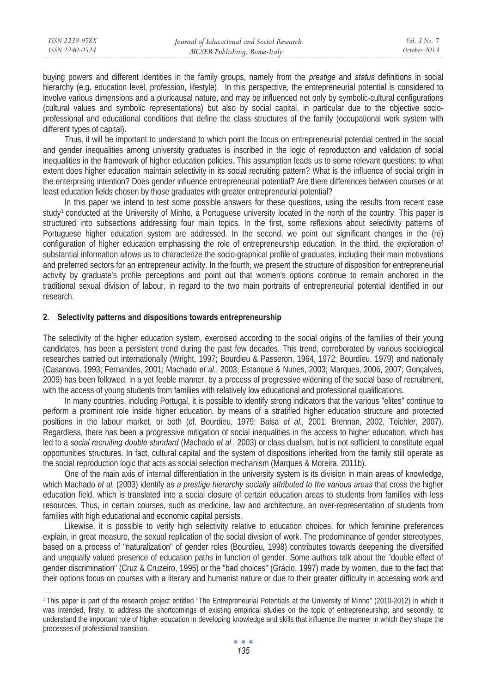buying powers and different identities in the family groups, namely from the *prestige* and *status* definitions in social hierarchy (e.g. education level, profession, lifestyle). In this perspective, the entrepreneurial potential is considered to involve various dimensions and a pluricausal nature, and may be influenced not only by symbolic-cultural configurations (cultural values and symbolic representations) but also by social capital, in particular due to the objective socioprofessional and educational conditions that define the class structures of the family (occupational work system with different types of capital).

Thus, it will be important to understand to which point the focus on entrepreneurial potential centred in the social and gender inequalities among university graduates is inscribed in the logic of reproduction and validation of social inequalities in the framework of higher education policies. This assumption leads us to some relevant questions: to what extent does higher education maintain selectivity in its social recruiting pattern? What is the influence of social origin in the enterprising intention? Does gender influence entrepreneurial potential? Are there differences between courses or at least education fields chosen by those graduates with greater entrepreneurial potential?

In this paper we intend to test some possible answers for these questions, using the results from recent case study<sup>1</sup> conducted at the University of Minho, a Portuguese university located in the north of the country. This paper is structured into subsections addressing four main topics. In the first, some reflexions about selectivity patterns of Portuguese higher education system are addressed. In the second, we point out significant changes in the (re) configuration of higher education emphasising the role of entrepreneurship education. In the third, the exploration of substantial information allows us to characterize the socio-graphical profile of graduates, including their main motivations and preferred sectors for an entrepreneur activity. In the fourth, we present the structure of disposition for entrepreneurial activity by graduate's profile perceptions and point out that women's options continue to remain anchored in the traditional sexual division of labour, in regard to the two main portraits of entrepreneurial potential identified in our research.

### **2. Selectivity patterns and dispositions towards entrepreneurship**

The selectivity of the higher education system, exercised according to the social origins of the families of their young candidates, has been a persistent trend during the past few decades. This trend, corroborated by various sociological researches carried out internationally (Wright, 1997; Bourdieu & Passeron, 1964, 1972; Bourdieu, 1979) and nationally (Casanova, 1993; Fernandes, 2001; Machado *et al*., 2003; Estanque & Nunes, 2003; Marques, 2006, 2007; Gonçalves, 2009) has been followed, in a yet feeble manner, by a process of progressive widening of the social base of recruitment, with the access of young students from families with relatively low educational and professional qualifications.

In many countries, including Portugal, it is possible to identify strong indicators that the various "elites" continue to perform a prominent role inside higher education, by means of a stratified higher education structure and protected positions in the labour market, or both (cf. Bourdieu, 1979; Balsa *et al.,* 2001; Brennan, 2002, Teichler, 2007). Regardless, there has been a progressive mitigation of social inequalities in the access to higher education, which has led to a *social recruiting double standard* (Machado *et al*., 2003) or class dualism, but is not sufficient to constitute equal opportunities structures. In fact, cultural capital and the system of dispositions inherited from the family still operate as the social reproduction logic that acts as social selection mechanism (Marques & Moreira, 2011b).

One of the main axis of internal differentiation in the university system is its division in main areas of knowledge, which Machado *et al.* (2003) identify as *a prestige hierarchy socially attributed to the various areas* that cross the higher education field, which is translated into a social closure of certain education areas to students from families with less resources. Thus, in certain courses, such as medicine, law and architecture, an over-representation of students from families with high educational and economic capital persists.

Likewise, it is possible to verify high selectivity relative to education choices, for which feminine preferences explain, in great measure, the sexual replication of the social division of work. The predominance of gender stereotypes, based on a process of "naturalization" of gender roles (Bourdieu, 1998) contributes towards deepening the diversified and unequally valued presence of education paths in function of gender. Some authors talk about the "double effect of gender discrimination" (Cruz & Cruzeiro, 1995) or the "bad choices" (Grácio, 1997) made by women, due to the fact that their options focus on courses with a literary and humanist nature or due to their greater difficulty in accessing work and

<sup>1</sup> This paper is part of the research project entitled "The Entrepreneurial Potentials at the University of Minho" (2010-2012) in which it was intended, firstly, to address the shortcomings of existing empirical studies on the topic of entrepreneurship; and secondly, to understand the important role of higher education in developing knowledge and skills that influence the manner in which they shape the processes of professional transition.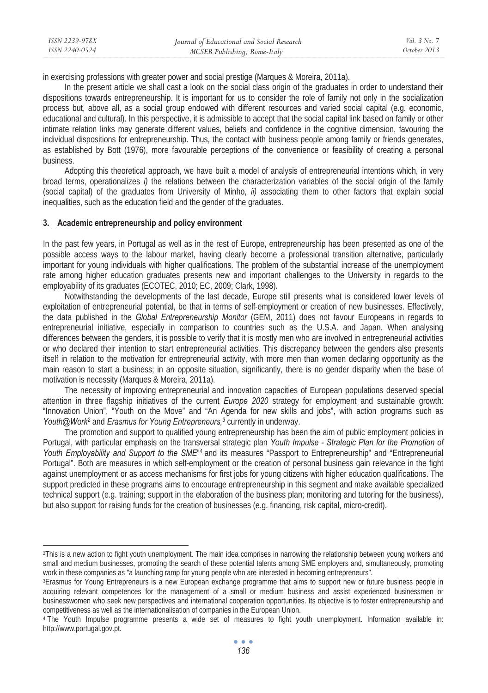| ISSN 2239-978X | Journal of Educational and Social Research | <i>Vol.</i> 3 No. 7 |
|----------------|--------------------------------------------|---------------------|
| ISSN 2240-0524 | MCSER Publishing, Rome-Italy               | October 2013        |

in exercising professions with greater power and social prestige (Marques & Moreira, 2011a).

In the present article we shall cast a look on the social class origin of the graduates in order to understand their dispositions towards entrepreneurship. It is important for us to consider the role of family not only in the socialization process but, above all, as a social group endowed with different resources and varied social capital (e.g. economic, educational and cultural). In this perspective, it is admissible to accept that the social capital link based on family or other intimate relation links may generate different values, beliefs and confidence in the cognitive dimension, favouring the individual dispositions for entrepreneurship. Thus, the contact with business people among family or friends generates, as established by Bott (1976), more favourable perceptions of the convenience or feasibility of creating a personal business.

Adopting this theoretical approach, we have built a model of analysis of entrepreneurial intentions which, in very broad terms, operationalizes *i)* the relations between the characterization variables of the social origin of the family (social capital) of the graduates from University of Minho, *ii)* associating them to other factors that explain social inequalities, such as the education field and the gender of the graduates.

#### **3. Academic entrepreneurship and policy environment**

In the past few years, in Portugal as well as in the rest of Europe, entrepreneurship has been presented as one of the possible access ways to the labour market, having clearly become a professional transition alternative, particularly important for young individuals with higher qualifications. The problem of the substantial increase of the unemployment rate among higher education graduates presents new and important challenges to the University in regards to the employability of its graduates (ECOTEC, 2010; EC, 2009; Clark, 1998).

Notwithstanding the developments of the last decade, Europe still presents what is considered lower levels of exploitation of entrepreneurial potential, be that in terms of self-employment or creation of new businesses. Effectively, the data published in the *Global Entrepreneurship Monitor* (GEM, 2011) does not favour Europeans in regards to entrepreneurial initiative, especially in comparison to countries such as the U.S.A. and Japan. When analysing differences between the genders, it is possible to verify that it is mostly men who are involved in entrepreneurial activities or who declared their intention to start entrepreneurial activities. This discrepancy between the genders also presents itself in relation to the motivation for entrepreneurial activity, with more men than women declaring opportunity as the main reason to start a business; in an opposite situation, significantly, there is no gender disparity when the base of motivation is necessity (Marques & Moreira, 2011a).

The necessity of improving entrepreneurial and innovation capacities of European populations deserved special attention in three flagship initiatives of the current *Europe 2020* strategy for employment and sustainable growth: "Innovation Union", "Youth on the Move" and "An Agenda for new skills and jobs", with action programs such as *Youth@Work2* and *Erasmus for Young Entrepreneurs,3* currently in underway.

The promotion and support to qualified young entrepreneurship has been the aim of public employment policies in Portugal, with particular emphasis on the transversal strategic plan *Youth Impulse - Strategic Plan for the Promotion of*  Youth Employability and Support to the SME<sup>"4</sup> and its measures "Passport to Entrepreneurship" and "Entrepreneurial Portugal". Both are measures in which self-employment or the creation of personal business gain relevance in the fight against unemployment or as access mechanisms for first jobs for young citizens with higher education qualifications. The support predicted in these programs aims to encourage entrepreneurship in this segment and make available specialized technical support (e.g. training; support in the elaboration of the business plan; monitoring and tutoring for the business), but also support for raising funds for the creation of businesses (e.g. financing, risk capital, micro-credit).

<sup>2</sup>This is a new action to fight youth unemployment. The main idea comprises in narrowing the relationship between young workers and small and medium businesses, promoting the search of these potential talents among SME employers and, simultaneously, promoting work in these companies as "a launching ramp for young people who are interested in becoming entrepreneurs".

<sup>3</sup>Erasmus for Young Entrepreneurs is a new European exchange programme that aims to support new or future business people in acquiring relevant competences for the management of a small or medium business and assist experienced businessmen or businesswomen who seek new perspectives and international cooperation opportunities. Its objective is to foster entrepreneurship and competitiveness as well as the internationalisation of companies in the European Union.<br>4 The Youth Impulse programme presents a wide set of measures to fight youth unemployment. Information available in:

http://www.portugal.gov.pt.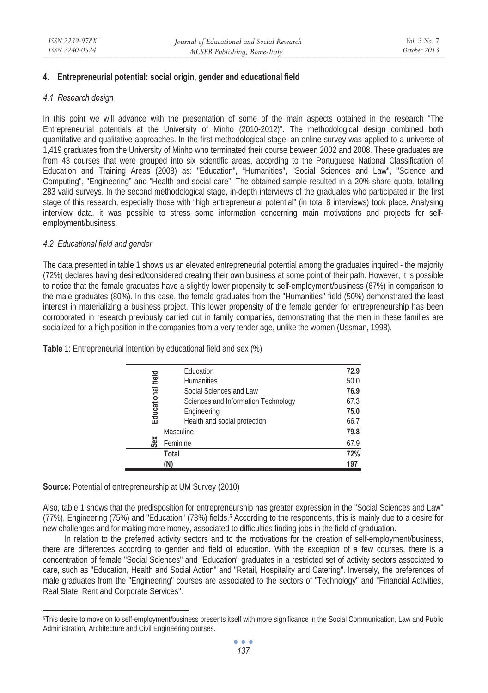# **4. Entrepreneurial potential: social origin, gender and educational field**

#### *4.1 Research design*

In this point we will advance with the presentation of some of the main aspects obtained in the research "The Entrepreneurial potentials at the University of Minho (2010-2012)". The methodological design combined both quantitative and qualitative approaches. In the first methodological stage, an online survey was applied to a universe of 1,419 graduates from the University of Minho who terminated their course between 2002 and 2008. These graduates are from 43 courses that were grouped into six scientific areas, according to the Portuguese National Classification of Education and Training Areas (2008) as: "Education", "Humanities", "Social Sciences and Law", "Science and Computing", "Engineering" and "Health and social care". The obtained sample resulted in a 20% share quota, totalling 283 valid surveys. In the second methodological stage, in-depth interviews of the graduates who participated in the first stage of this research, especially those with "high entrepreneurial potential" (in total 8 interviews) took place. Analysing interview data, it was possible to stress some information concerning main motivations and projects for selfemployment/business.

### *4.2 Educational field and gender*

The data presented in table 1 shows us an elevated entrepreneurial potential among the graduates inquired - the majority (72%) declares having desired/considered creating their own business at some point of their path. However, it is possible to notice that the female graduates have a slightly lower propensity to self-employment/business (67%) in comparison to the male graduates (80%). In this case, the female graduates from the "Humanities" field (50%) demonstrated the least interest in materializing a business project. This lower propensity of the female gender for entrepreneurship has been corroborated in research previously carried out in family companies, demonstrating that the men in these families are socialized for a high position in the companies from a very tender age, unlike the women (Ussman, 1998).

|                   | Education                           | 72.9 |
|-------------------|-------------------------------------|------|
|                   | <b>Humanities</b>                   | 50.0 |
|                   | Social Sciences and Law             | 76.9 |
|                   | Sciences and Information Technology | 67.3 |
| Educational field | Engineering                         | 75.0 |
|                   | Health and social protection        | 66.7 |
|                   | Masculine                           | 79.8 |
| ఠ                 | Feminine                            | 67.9 |
|                   | Total                               | 72%  |
|                   | (N)                                 | 197  |

**Table** 1: Entrepreneurial intention by educational field and sex (%)

**Source:** Potential of entrepreneurship at UM Survey (2010)

Also, table 1 shows that the predisposition for entrepreneurship has greater expression in the "Social Sciences and Law" (77%), Engineering (75%) and "Education" (73%) fields.5 According to the respondents, this is mainly due to a desire for new challenges and for making more money, associated to difficulties finding jobs in the field of graduation.

In relation to the preferred activity sectors and to the motivations for the creation of self-employment/business, there are differences according to gender and field of education. With the exception of a few courses, there is a concentration of female "Social Sciences" and "Education" graduates in a restricted set of activity sectors associated to care, such as "Education, Health and Social Action" and "Retail, Hospitality and Catering". Inversely, the preferences of male graduates from the "Engineering" courses are associated to the sectors of "Technology" and "Financial Activities, Real State, Rent and Corporate Services".

<sup>5</sup>This desire to move on to self-employment/business presents itself with more significance in the Social Communication, Law and Public Administration, Architecture and Civil Engineering courses.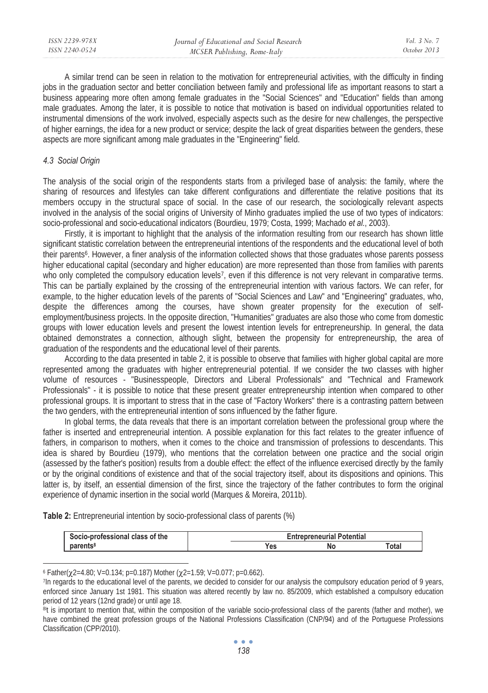A similar trend can be seen in relation to the motivation for entrepreneurial activities, with the difficulty in finding jobs in the graduation sector and better conciliation between family and professional life as important reasons to start a business appearing more often among female graduates in the "Social Sciences" and "Education" fields than among male graduates. Among the later, it is possible to notice that motivation is based on individual opportunities related to instrumental dimensions of the work involved, especially aspects such as the desire for new challenges, the perspective of higher earnings, the idea for a new product or service; despite the lack of great disparities between the genders, these aspects are more significant among male graduates in the "Engineering" field.

### *4.3 Social Origin*

The analysis of the social origin of the respondents starts from a privileged base of analysis: the family, where the sharing of resources and lifestyles can take different configurations and differentiate the relative positions that its members occupy in the structural space of social. In the case of our research, the sociologically relevant aspects involved in the analysis of the social origins of University of Minho graduates implied the use of two types of indicators: socio-professional and socio-educational indicators (Bourdieu, 1979; Costa, 1999; Machado *et al.*, 2003).

Firstly, it is important to highlight that the analysis of the information resulting from our research has shown little significant statistic correlation between the entrepreneurial intentions of the respondents and the educational level of both their parents<sup>6</sup>. However, a finer analysis of the information collected shows that those graduates whose parents possess higher educational capital (secondary and higher education) are more represented than those from families with parents who only completed the compulsory education levels<sup>7</sup>, even if this difference is not very relevant in comparative terms. This can be partially explained by the crossing of the entrepreneurial intention with various factors. We can refer, for example, to the higher education levels of the parents of "Social Sciences and Law" and "Engineering" graduates, who, despite the differences among the courses, have shown greater propensity for the execution of selfemployment/business projects. In the opposite direction, "Humanities" graduates are also those who come from domestic groups with lower education levels and present the lowest intention levels for entrepreneurship. In general, the data obtained demonstrates a connection, although slight, between the propensity for entrepreneurship, the area of graduation of the respondents and the educational level of their parents.

According to the data presented in table 2, it is possible to observe that families with higher global capital are more represented among the graduates with higher entrepreneurial potential. If we consider the two classes with higher volume of resources - "Businesspeople, Directors and Liberal Professionals" and "Technical and Framework Professionals" - it is possible to notice that these present greater entrepreneurship intention when compared to other professional groups. It is important to stress that in the case of "Factory Workers" there is a contrasting pattern between the two genders, with the entrepreneurial intention of sons influenced by the father figure.

In global terms, the data reveals that there is an important correlation between the professional group where the father is inserted and entrepreneurial intention. A possible explanation for this fact relates to the greater influence of fathers, in comparison to mothers, when it comes to the choice and transmission of professions to descendants. This idea is shared by Bourdieu (1979), who mentions that the correlation between one practice and the social origin (assessed by the father's position) results from a double effect: the effect of the influence exercised directly by the family or by the original conditions of existence and that of the social trajectory itself, about its dispositions and opinions. This latter is, by itself, an essential dimension of the first, since the trajectory of the father contributes to form the original experience of dynamic insertion in the social world (Marques & Moreira, 2011b).

**Table 2:** Entrepreneurial intention by socio-professional class of parents (%)

| Socio-professional class of the | Potential<br>.repreneurial ' |     |    |      |
|---------------------------------|------------------------------|-----|----|------|
| parents <sup>8</sup>            |                              | 'es | Νo | otal |

<sup>&</sup>lt;sup>6</sup> Father(χ2=4.80; V=0.134; p=0.187) Mother (χ2=1.59; V=0.077; p=0.662).<br><sup>7</sup>In regards to the educational level of the parents, we decided to consider for our analysis the compulsory education period of 9 years, enforced since January 1st 1981. This situation was altered recently by law no. 85/2009, which established a compulsory education period of 12 years (12nd grade) or until age 18.

<sup>&</sup>lt;sup>8It</sup> is important to mention that, within the composition of the variable socio-professional class of the parents (father and mother), we have combined the great profession groups of the National Professions Classification (CNP/94) and of the Portuguese Professions Classification (CPP/2010).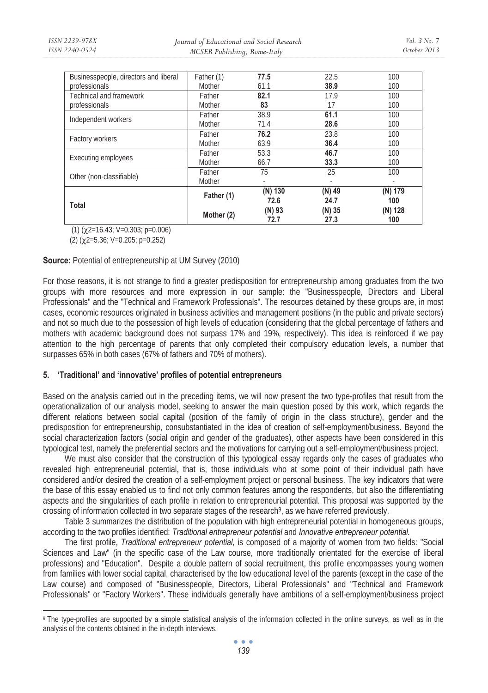| Businesspeople, directors and liberal | Father (1) | 77.5      | 22.5     | 100     |
|---------------------------------------|------------|-----------|----------|---------|
| professionals                         | Mother     | 61.1      | 38.9     | 100     |
| <b>Technical and framework</b>        | Father     | 82.1      | 17.9     | 100     |
| professionals                         | Mother     | 83        | 17       | 100     |
|                                       | Father     | 38.9      | 61.1     | 100     |
| Independent workers                   | Mother     | 71.4      | 28.6     | 100     |
|                                       | Father     | 76.2      | 23.8     | 100     |
| Factory workers                       | Mother     | 63.9      | 36.4     | 100     |
|                                       | Father     | 53.3      | 46.7     | 100     |
| Executing employees                   | Mother     | 66.7      | 33.3     | 100     |
| Other (non-classifiable)              | Father     | 75        | 25       | 100     |
|                                       | Mother     |           |          |         |
|                                       |            | $(N)$ 130 | $(N)$ 49 | (N) 179 |
| Total                                 | Father (1) | 72.6      | 24.7     | 100     |
|                                       |            | (N) 93    | (N) 35   | (N) 128 |
|                                       | Mother (2) | 72.7      | 27.3     | 100     |

(1) (χ2=16.43; V=0.303; p=0.006)

(2) (χ2=5.36; V=0.205; p=0.252)

### **Source:** Potential of entrepreneurship at UM Survey (2010)

For those reasons, it is not strange to find a greater predisposition for entrepreneurship among graduates from the two groups with more resources and more expression in our sample: the "Businesspeople, Directors and Liberal Professionals" and the "Technical and Framework Professionals". The resources detained by these groups are, in most cases, economic resources originated in business activities and management positions (in the public and private sectors) and not so much due to the possession of high levels of education (considering that the global percentage of fathers and mothers with academic background does not surpass 17% and 19%, respectively). This idea is reinforced if we pay attention to the high percentage of parents that only completed their compulsory education levels, a number that surpasses 65% in both cases (67% of fathers and 70% of mothers).

## **5. 'Traditional' and 'innovative' profiles of potential entrepreneurs**

Based on the analysis carried out in the preceding items, we will now present the two type-profiles that result from the operationalization of our analysis model, seeking to answer the main question posed by this work, which regards the different relations between social capital (position of the family of origin in the class structure), gender and the predisposition for entrepreneurship, consubstantiated in the idea of creation of self-employment/business. Beyond the social characterization factors (social origin and gender of the graduates), other aspects have been considered in this typological test, namely the preferential sectors and the motivations for carrying out a self-employment/business project.

We must also consider that the construction of this typological essay regards only the cases of graduates who revealed high entrepreneurial potential, that is, those individuals who at some point of their individual path have considered and/or desired the creation of a self-employment project or personal business. The key indicators that were the base of this essay enabled us to find not only common features among the respondents, but also the differentiating aspects and the singularities of each profile in relation to entrepreneurial potential. This proposal was supported by the crossing of information collected in two separate stages of the research<sup>9</sup>, as we have referred previously.

Table 3 summarizes the distribution of the population with high entrepreneurial potential in homogeneous groups, according to the two profiles identified: *Traditional entrepreneur potential* and *Innovative entrepreneur potential.*

The first profile, *Traditional entrepreneur potential,* is composed of a majority of women from two fields: "Social Sciences and Law" (in the specific case of the Law course, more traditionally orientated for the exercise of liberal professions) and "Education". Despite a double pattern of social recruitment, this profile encompasses young women from families with lower social capital, characterised by the low educational level of the parents (except in the case of the Law course) and composed of "Businesspeople, Directors, Liberal Professionals" and "Technical and Framework Professionals" or "Factory Workers". These individuals generally have ambitions of a self-employment/business project

 9 The type-profiles are supported by a simple statistical analysis of the information collected in the online surveys, as well as in the analysis of the contents obtained in the in-depth interviews.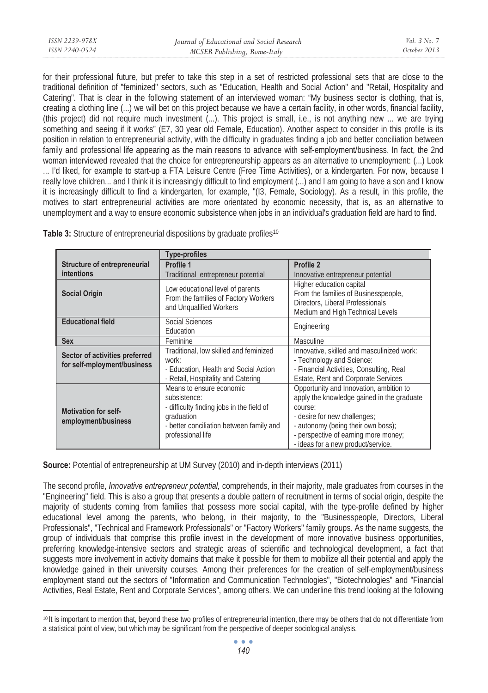| ISSN 2239-978X | Journal of Educational and Social Research | Vol. 3 No. 7 |
|----------------|--------------------------------------------|--------------|
| ISSN 2240-0524 | MCSER Publishing, Rome-Italy               | October 2013 |
|                |                                            |              |

for their professional future, but prefer to take this step in a set of restricted professional sets that are close to the traditional definition of "feminized" sectors, such as "Education, Health and Social Action" and "Retail, Hospitality and Catering". That is clear in the following statement of an interviewed woman: "My business sector is clothing, that is, creating a clothing line (...) we will bet on this project because we have a certain facility, in other words, financial facility, (this project) did not require much investment (...). This project is small, i.e., is not anything new ... we are trying something and seeing if it works" (E7, 30 year old Female, Education). Another aspect to consider in this profile is its position in relation to entrepreneurial activity, with the difficulty in graduates finding a job and better conciliation between family and professional life appearing as the main reasons to advance with self-employment/business. In fact, the 2nd woman interviewed revealed that the choice for entrepreneurship appears as an alternative to unemployment: (...) Look

... I'd liked, for example to start-up a FTA Leisure Centre (Free Time Activities), or a kindergarten. For now, because I really love children... and I think it is increasingly difficult to find employment (...) and I am going to have a son and I know it is increasingly difficult to find a kindergarten, for example, "(I3, Female, Sociology). As a result, in this profile, the motives to start entrepreneurial activities are more orientated by economic necessity, that is, as an alternative to unemployment and a way to ensure economic subsistence when jobs in an individual's graduation field are hard to find.

|                                                               | <b>Type-profiles</b>                                                                                                                                                 |                                                                                                                                                                                                                                                      |  |
|---------------------------------------------------------------|----------------------------------------------------------------------------------------------------------------------------------------------------------------------|------------------------------------------------------------------------------------------------------------------------------------------------------------------------------------------------------------------------------------------------------|--|
| Structure of entrepreneurial<br><b>intentions</b>             | Profile 1<br>Traditional entrepreneur potential                                                                                                                      | Profile 2<br>Innovative entrepreneur potential                                                                                                                                                                                                       |  |
| <b>Social Origin</b>                                          | Low educational level of parents<br>From the families of Factory Workers<br>and Ungualified Workers                                                                  | Higher education capital<br>From the families of Businesspeople,<br>Directors, Liberal Professionals<br>Medium and High Technical Levels                                                                                                             |  |
| <b>Educational field</b>                                      | <b>Social Sciences</b><br>Education                                                                                                                                  | Engineering                                                                                                                                                                                                                                          |  |
| <b>Sex</b>                                                    | Feminine                                                                                                                                                             | Masculine                                                                                                                                                                                                                                            |  |
| Sector of activities preferred<br>for self-mployment/business | Traditional, low skilled and feminized<br>work:<br>- Education, Health and Social Action<br>- Retail, Hospitality and Catering                                       | Innovative, skilled and masculinized work:<br>- Technology and Science:<br>- Financial Activities, Consulting, Real<br>Estate, Rent and Corporate Services                                                                                           |  |
| <b>Motivation for self-</b><br>employment/business            | Means to ensure economic<br>subsistence:<br>- difficulty finding jobs in the field of<br>graduation<br>- better conciliation between family and<br>professional life | Opportunity and Innovation, ambition to<br>apply the knowledge gained in the graduate<br>course:<br>- desire for new challenges;<br>- autonomy (being their own boss);<br>- perspective of earning more money;<br>- ideas for a new product/service. |  |

Table 3: Structure of entrepreneurial dispositions by graduate profiles<sup>10</sup>

**Source:** Potential of entrepreneurship at UM Survey (2010) and in-depth interviews (2011)

The second profile, *Innovative entrepreneur potential,* comprehends, in their majority, male graduates from courses in the "Engineering" field. This is also a group that presents a double pattern of recruitment in terms of social origin, despite the majority of students coming from families that possess more social capital, with the type-profile defined by higher educational level among the parents, who belong, in their majority, to the "Businesspeople, Directors, Liberal Professionals", "Technical and Framework Professionals" or "Factory Workers" family groups. As the name suggests, the group of individuals that comprise this profile invest in the development of more innovative business opportunities, preferring knowledge-intensive sectors and strategic areas of scientific and technological development, a fact that suggests more involvement in activity domains that make it possible for them to mobilize all their potential and apply the knowledge gained in their university courses. Among their preferences for the creation of self-employment/business employment stand out the sectors of "Information and Communication Technologies", "Biotechnologies" and "Financial Activities, Real Estate, Rent and Corporate Services", among others. We can underline this trend looking at the following

<sup>10</sup> It is important to mention that, beyond these two profiles of entrepreneurial intention, there may be others that do not differentiate from a statistical point of view, but which may be significant from the perspective of deeper sociological analysis.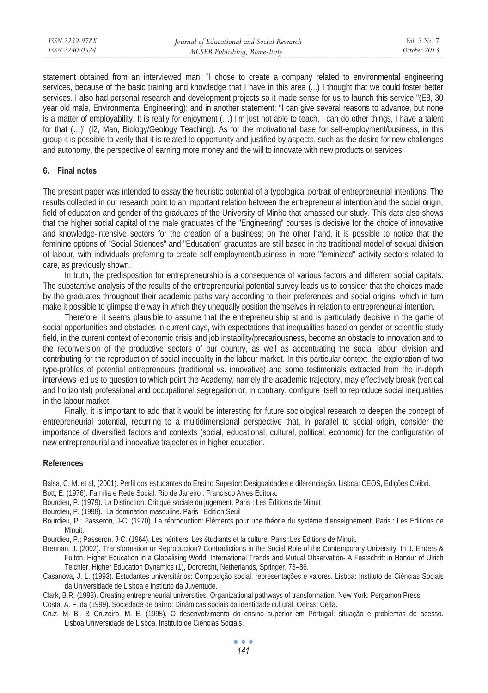| ISSN 2239-978X | Journal of Educational and Social Research | Vol. 3 No. 7 |
|----------------|--------------------------------------------|--------------|
| ISSN 2240-0524 | MCSER Publishing, Rome-Italy               | October 2013 |
|                |                                            |              |

statement obtained from an interviewed man: "I chose to create a company related to environmental engineering services, because of the basic training and knowledge that I have in this area  $\ldots$ ) I thought that we could foster better services. I also had personal research and development projects so it made sense for us to launch this service "(E8, 30 year old male, Environmental Engineering); and in another statement: "I can give several reasons to advance, but none is a matter of employability. It is really for enjoyment (…) I'm just not able to teach, I can do other things, I have a talent for that (…)" (I2, Man, Biology/Geology Teaching). As for the motivational base for self-employment/business, in this group it is possible to verify that it is related to opportunity and justified by aspects, such as the desire for new challenges and autonomy, the perspective of earning more money and the will to innovate with new products or services.

#### **6. Final notes**

The present paper was intended to essay the heuristic potential of a typological portrait of entrepreneurial intentions. The results collected in our research point to an important relation between the entrepreneurial intention and the social origin, field of education and gender of the graduates of the University of Minho that amassed our study. This data also shows that the higher social capital of the male graduates of the "Engineering" courses is decisive for the choice of innovative and knowledge-intensive sectors for the creation of a business; on the other hand, it is possible to notice that the feminine options of "Social Sciences" and "Education" graduates are still based in the traditional model of sexual division of labour, with individuals preferring to create self-employment/business in more "feminized" activity sectors related to care, as previously shown.

In truth, the predisposition for entrepreneurship is a consequence of various factors and different social capitals. The substantive analysis of the results of the entrepreneurial potential survey leads us to consider that the choices made by the graduates throughout their academic paths vary according to their preferences and social origins, which in turn make it possible to glimpse the way in which they unequally position themselves in relation to entrepreneurial intention.

Therefore, it seems plausible to assume that the entrepreneurship strand is particularly decisive in the game of social opportunities and obstacles in current days, with expectations that inequalities based on gender or scientific study field, in the current context of economic crisis and job instability/precariousness, become an obstacle to innovation and to the reconversion of the productive sectors of our country, as well as accentuating the social labour division and contributing for the reproduction of social inequality in the labour market. In this particular context, the exploration of two type-profiles of potential entrepreneurs (traditional vs. innovative) and some testimonials extracted from the in-depth interviews led us to question to which point the Academy, namely the academic trajectory, may effectively break (vertical and horizontal) professional and occupational segregation or, in contrary, configure itself to reproduce social inequalities in the labour market.

Finally, it is important to add that it would be interesting for future sociological research to deepen the concept of entrepreneurial potential, recurring to a multidimensional perspective that, in parallel to social origin, consider the importance of diversified factors and contexts (social, educational, cultural, political, economic) for the configuration of new entrepreneurial and innovative trajectories in higher education.

#### **References**

Balsa, C. M. et al, (2001). Perfil dos estudantes do Ensino Superior: Desigualdades e diferenciação. Lisboa: CEOS, Edições Colibri. Bott, E. (1976). Família e Rede Social. Rio de Janeiro : Francisco Alves Editora.

Bourdieu, P. (1979). La Distinction. Critique sociale du jugement. Paris : Les Éditions de Minuit

Bourdieu, P. (1998). La domination masculine. Paris : Edition Seuil

Bourdieu, P.; Passeron, J-C. (1970). La réproduction: Éléments pour une théorie du système d'enseignement. Paris : Les Éditions de Minuit.

Bourdieu, P.; Passeron, J-C. (1964). Les héritiers: Les étudiants et la culture. Paris :Les Éditions de Minuit.

Brennan, J. (2002). Transformation or Reproduction? Contradictions in the Social Role of the Contemporary University. In J. Enders & Fulton. Higher Education in a Globalising World: International Trends and Mutual Observation- A Festschrift in Honour of Ulrich Teichler. Higher Education Dynamics (1), Dordrecht, Netherlands, Springer, 73–86.

Casanova, J. L. (1993). Estudantes universitários: Composição social, representações e valores. Lisboa: Instituto de Ciências Sociais da Universidade de Lisboa e Instituto da Juventude.

Clark, B.R. (1998). Creating entrepreneurial universities: Organizational pathways of transformation. New York: Pergamon Press.

Costa, A. F. da (1999). Sociedade de bairro: Dinâmicas sociais da identidade cultural. Oeiras: Celta.

Cruz, M. B., & Cruzeiro, M. E. (1995), O desenvolvimento do ensino superior em Portugal: situação e problemas de acesso. Lisboa:Universidade de Lisboa, Instituto de Ciências Sociais.